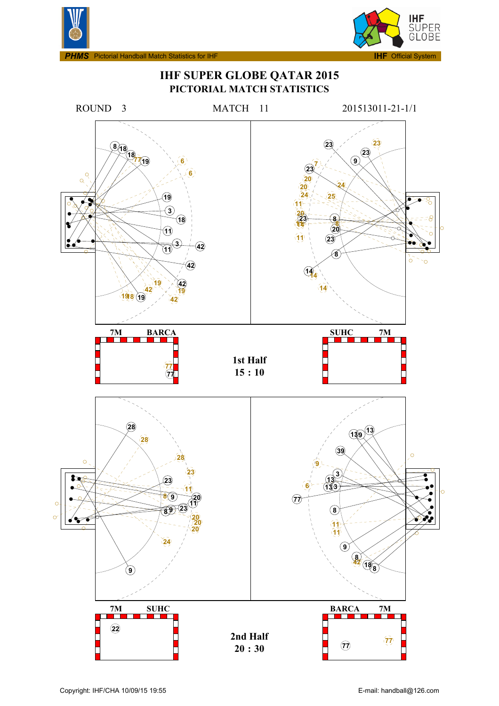



**IHF SUPER GLOBE QATAR 2015 PICTORIAL MATCH STATISTICS**

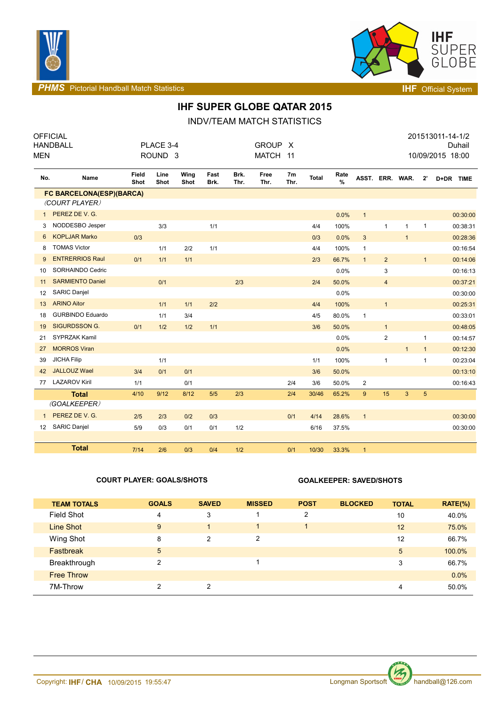



**PHMS** Pictorial Handball Match Statistics **INF** Official System

## **IHF SUPER GLOBE QATAR 2015**

INDV/TEAM MATCH STATISTICS

| <b>MEN</b>      | <b>OFFICIAL</b><br><b>HANDBALL</b> | PLACE 3-4<br><b>GROUP</b><br>X<br>ROUND <sub>3</sub><br><b>MATCH</b><br>11 |              |              |              |              |              |            | 201513011-14-1/2<br>Duhail<br>10/09/2015 18:00 |              |                 |                |              |                |           |
|-----------------|------------------------------------|----------------------------------------------------------------------------|--------------|--------------|--------------|--------------|--------------|------------|------------------------------------------------|--------------|-----------------|----------------|--------------|----------------|-----------|
| No.             | Name                               | Field<br>Shot                                                              | Line<br>Shot | Wing<br>Shot | Fast<br>Brk. | Brk.<br>Thr. | Free<br>Thr. | 7m<br>Thr. | <b>Total</b>                                   | Rate<br>$\%$ | ASST. ERR. WAR. |                |              | $2^{\prime}$   | D+DR TIME |
|                 | FC BARCELONA(ESP)(BARCA)           |                                                                            |              |              |              |              |              |            |                                                |              |                 |                |              |                |           |
|                 | (COURT PLAYER)                     |                                                                            |              |              |              |              |              |            |                                                |              |                 |                |              |                |           |
| $\mathbf{1}$    | PEREZ DE V. G.                     |                                                                            |              |              |              |              |              |            |                                                | 0.0%         | $\mathbf{1}$    |                |              |                | 00:30:00  |
| 3               | NODDESBO Jesper                    |                                                                            | 3/3          |              | 1/1          |              |              |            | 4/4                                            | 100%         |                 | $\mathbf{1}$   | $\mathbf{1}$ | $\mathbf{1}$   | 00:38:31  |
| 6               | <b>KOPLJAR Marko</b>               | 0/3                                                                        |              |              |              |              |              |            | 0/3                                            | 0.0%         | $\mathbf{3}$    |                | $\mathbf{1}$ |                | 00:28:36  |
| 8               | <b>TOMAS Victor</b>                |                                                                            | 1/1          | 2/2          | 1/1          |              |              |            | 4/4                                            | 100%         | $\mathbf{1}$    |                |              |                | 00:16:54  |
| 9               | <b>ENTRERRIOS Raul</b>             | 0/1                                                                        | 1/1          | 1/1          |              |              |              |            | 2/3                                            | 66.7%        | $\mathbf{1}$    | $\overline{2}$ |              | $\mathbf{1}$   | 00:14:06  |
| 10              | SORHAINDO Cedric                   |                                                                            |              |              |              |              |              |            |                                                | 0.0%         |                 | 3              |              |                | 00:16:13  |
| 11              | <b>SARMIENTO Daniel</b>            |                                                                            | 0/1          |              |              | 2/3          |              |            | 2/4                                            | 50.0%        |                 | $\overline{4}$ |              |                | 00:37:21  |
| 12              | <b>SARIC Danjel</b>                |                                                                            |              |              |              |              |              |            |                                                | 0.0%         |                 |                |              |                | 00:30:00  |
| 13              | <b>ARINO Aitor</b>                 |                                                                            | 1/1          | 1/1          | 2/2          |              |              |            | 4/4                                            | 100%         |                 | $\mathbf{1}$   |              |                | 00:25:31  |
| 18              | <b>GURBINDO Eduardo</b>            |                                                                            | 1/1          | 3/4          |              |              |              |            | 4/5                                            | 80.0%        | $\mathbf{1}$    |                |              |                | 00:33:01  |
| 19              | <b>SIGURDSSON G.</b>               | 0/1                                                                        | 1/2          | 1/2          | 1/1          |              |              |            | 3/6                                            | 50.0%        |                 | $\mathbf{1}$   |              |                | 00:48:05  |
| 21              | <b>SYPRZAK Kamil</b>               |                                                                            |              |              |              |              |              |            |                                                | 0.0%         |                 | $\overline{c}$ |              | $\mathbf{1}$   | 00:14:57  |
| 27              | <b>MORROS Viran</b>                |                                                                            |              |              |              |              |              |            |                                                | 0.0%         |                 |                | $\mathbf{1}$ | 1              | 00:12:30  |
| 39              | <b>JICHA Filip</b>                 |                                                                            | 1/1          |              |              |              |              |            | 1/1                                            | 100%         |                 | $\mathbf{1}$   |              | 1              | 00:23:04  |
| 42              | <b>JALLOUZ Wael</b>                | 3/4                                                                        | 0/1          | 0/1          |              |              |              |            | 3/6                                            | 50.0%        |                 |                |              |                | 00:13:10  |
| 77              | <b>LAZAROV Kiril</b>               | 1/1                                                                        |              | 0/1          |              |              |              | 2/4        | 3/6                                            | 50.0%        | $\overline{c}$  |                |              |                | 00:16:43  |
|                 | <b>Total</b>                       | 4/10                                                                       | 9/12         | 8/12         | 5/5          | 2/3          |              | 2/4        | 30/46                                          | 65.2%        | 9               | 15             | 3            | 5 <sup>5</sup> |           |
|                 | (GOALKEEPER)                       |                                                                            |              |              |              |              |              |            |                                                |              |                 |                |              |                |           |
| $\mathbf{1}$    | PEREZ DE V. G.                     | 2/5                                                                        | 2/3          | 0/2          | 0/3          |              |              | 0/1        | 4/14                                           | 28.6%        | $\overline{1}$  |                |              |                | 00:30:00  |
| 12 <sup>2</sup> | <b>SARIC Danjel</b>                | 5/9                                                                        | 0/3          | 0/1          | 0/1          | 1/2          |              |            | 6/16                                           | 37.5%        |                 |                |              |                | 00:30:00  |
|                 |                                    |                                                                            |              |              |              |              |              |            |                                                |              |                 |                |              |                |           |
|                 | <b>Total</b>                       | 7/14                                                                       | 2/6          | 0/3          | 0/4          | 1/2          |              | 0/1        | 10/30                                          | 33.3%        | $\mathbf{1}$    |                |              |                |           |

### **COURT PLAYER: GOALS/SHOTS GOALKEEPER: SAVED/SHOTS**

| <b>TEAM TOTALS</b> | <b>GOALS</b> | <b>SAVED</b>   | <b>MISSED</b> | <b>POST</b> | <b>BLOCKED</b> | <b>TOTAL</b> | $RATE(\%)$ |
|--------------------|--------------|----------------|---------------|-------------|----------------|--------------|------------|
| Field Shot         | 4            | 3              |               | 2           |                | 10           | 40.0%      |
| Line Shot          | 9            |                | 4             |             |                | 12           | 75.0%      |
| Wing Shot          | 8            | $\overline{2}$ | 2             |             |                | 12           | 66.7%      |
| <b>Fastbreak</b>   | 5            |                |               |             |                | 5            | 100.0%     |
| Breakthrough       | 2            |                |               |             |                | 3            | 66.7%      |
| <b>Free Throw</b>  |              |                |               |             |                |              | $0.0\%$    |
| 7M-Throw           | 2            | 2              |               |             |                | 4            | 50.0%      |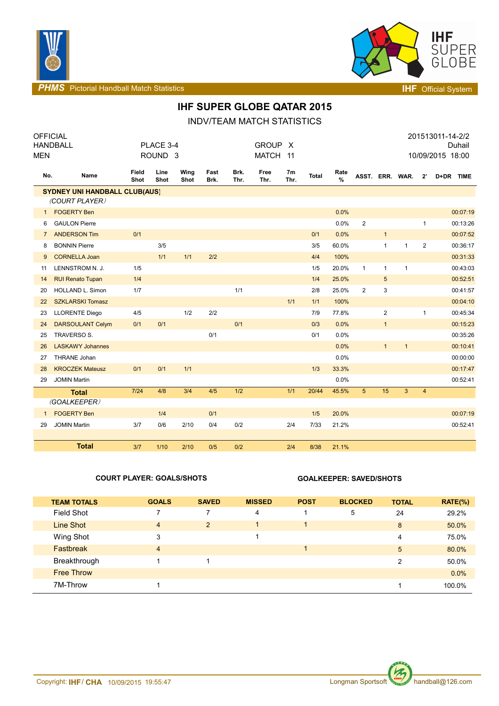



**PHMS** Pictorial Handball Match Statistics **Intervalse and Contract Contract Contract Contract Contract Contract Contract Contract Contract Contract Contract Contract Contract Contract Contract Contract Contract Contract C** 

### **IHF SUPER GLOBE QATAR 2015**

INDV/TEAM MATCH STATISTICS

|                | <b>OFFICIAL</b>                      |               |                    |              |              |              |              |                        |              |                       |                 |                |              |                | 201513011-14-2/2 |
|----------------|--------------------------------------|---------------|--------------------|--------------|--------------|--------------|--------------|------------------------|--------------|-----------------------|-----------------|----------------|--------------|----------------|------------------|
|                | <b>HANDBALL</b>                      |               | PLACE 3-4          |              |              |              | <b>GROUP</b> | $\mathsf{X}$           |              |                       |                 |                |              |                | Duhail           |
| <b>MEN</b>     |                                      |               | ROUND <sub>3</sub> |              |              |              | <b>MATCH</b> | 11                     |              |                       |                 |                |              |                | 10/09/2015 18:00 |
| No.            | Name                                 | Field<br>Shot | Line<br>Shot       | Wing<br>Shot | Fast<br>Brk. | Brk.<br>Thr. | Free<br>Thr. | 7 <sub>m</sub><br>Thr. | <b>Total</b> | Rate<br>$\frac{9}{6}$ | ASST. ERR. WAR. |                |              | $2^{\prime}$   | D+DR TIME        |
|                | <b>SYDNEY UNI HANDBALL CLUB(AUS)</b> |               |                    |              |              |              |              |                        |              |                       |                 |                |              |                |                  |
|                | (COURT PLAYER)                       |               |                    |              |              |              |              |                        |              |                       |                 |                |              |                |                  |
| $\mathbf{1}$   | <b>FOGERTY Ben</b>                   |               |                    |              |              |              |              |                        |              | 0.0%                  |                 |                |              |                | 00:07:19         |
| 6              | <b>GAULON Pierre</b>                 |               |                    |              |              |              |              |                        |              | 0.0%                  | $\overline{2}$  |                |              | $\mathbf{1}$   | 00:13:26         |
| $\overline{7}$ | <b>ANDERSON Tim</b>                  | 0/1           |                    |              |              |              |              |                        | 0/1          | 0.0%                  |                 | $\mathbf{1}$   |              |                | 00:07:52         |
| 8              | <b>BONNIN Pierre</b>                 |               | 3/5                |              |              |              |              |                        | 3/5          | 60.0%                 |                 | $\mathbf{1}$   | $\mathbf{1}$ | 2              | 00:36:17         |
| 9              | <b>CORNELLA Joan</b>                 |               | 1/1                | 1/1          | 2/2          |              |              |                        | 4/4          | 100%                  |                 |                |              |                | 00:31:33         |
| 11             | LENNSTROM N. J.                      | 1/5           |                    |              |              |              |              |                        | 1/5          | 20.0%                 | $\mathbf{1}$    | $\mathbf{1}$   | $\mathbf{1}$ |                | 00:43:03         |
| 14             | <b>RUI Renato Tupan</b>              | 1/4           |                    |              |              |              |              |                        | 1/4          | 25.0%                 |                 | $\sqrt{5}$     |              |                | 00:52:51         |
| 20             | <b>HOLLAND L. Simon</b>              | 1/7           |                    |              |              | 1/1          |              |                        | 2/8          | 25.0%                 | 2               | 3              |              |                | 00:41:57         |
| 22             | <b>SZKLARSKI Tomasz</b>              |               |                    |              |              |              |              | 1/1                    | 1/1          | 100%                  |                 |                |              |                | 00:04:10         |
| 23             | <b>LLORENTE Diego</b>                | 4/5           |                    | 1/2          | 2/2          |              |              |                        | 7/9          | 77.8%                 |                 | $\overline{2}$ |              | $\mathbf{1}$   | 00:45:34         |
| 24             | <b>DARSOULANT Celym</b>              | 0/1           | 0/1                |              |              | 0/1          |              |                        | 0/3          | 0.0%                  |                 | $\mathbf{1}$   |              |                | 00:15:23         |
| 25             | TRAVERSO S.                          |               |                    |              | 0/1          |              |              |                        | 0/1          | 0.0%                  |                 |                |              |                | 00:35:26         |
| 26             | <b>LASKAWY Johannes</b>              |               |                    |              |              |              |              |                        |              | 0.0%                  |                 | $\mathbf{1}$   | $\mathbf{1}$ |                | 00:10:41         |
| 27             | THRANE Johan                         |               |                    |              |              |              |              |                        |              | 0.0%                  |                 |                |              |                | 00:00:00         |
| 28             | <b>KROCZEK Mateusz</b>               | 0/1           | 0/1                | $1/1$        |              |              |              |                        | 1/3          | 33.3%                 |                 |                |              |                | 00:17:47         |
| 29             | <b>JOMIN Martin</b>                  |               |                    |              |              |              |              |                        |              | 0.0%                  |                 |                |              |                | 00:52:41         |
|                | <b>Total</b>                         | $7/24$        | 4/8                | 3/4          | 4/5          | 1/2          |              | 1/1                    | 20/44        | 45.5%                 | 5 <sup>5</sup>  | 15             | 3            | $\overline{4}$ |                  |
|                | (GOALKEEPER)                         |               |                    |              |              |              |              |                        |              |                       |                 |                |              |                |                  |
| $\mathbf{1}$   | <b>FOGERTY Ben</b>                   |               | 1/4                |              | 0/1          |              |              |                        | 1/5          | 20.0%                 |                 |                |              |                | 00:07:19         |
| 29             | <b>JOMIN Martin</b>                  | 3/7           | 0/6                | 2/10         | 0/4          | 0/2          |              | 2/4                    | 7/33         | 21.2%                 |                 |                |              |                | 00:52:41         |
|                |                                      |               |                    |              |              |              |              |                        |              |                       |                 |                |              |                |                  |
|                | <b>Total</b>                         | 3/7           | 1/10               | 2/10         | 0/5          | 0/2          |              | 2/4                    | 8/38         | 21.1%                 |                 |                |              |                |                  |

### **COURT PLAYER: GOALS/SHOTS GOALKEEPER: SAVED/SHOTS**

| <b>TEAM TOTALS</b> | <b>GOALS</b>   | <b>SAVED</b>   | <b>MISSED</b> | <b>POST</b> | <b>BLOCKED</b> | <b>TOTAL</b>   | $RATE(\% )$ |
|--------------------|----------------|----------------|---------------|-------------|----------------|----------------|-------------|
| Field Shot         | ⇁              | 7              | 4             |             | 5              | 24             | 29.2%       |
| Line Shot          | $\overline{4}$ | $\overline{2}$ | 1             | 1           |                | 8              | 50.0%       |
| Wing Shot          | 3              |                |               |             |                | 4              | 75.0%       |
| <b>Fastbreak</b>   | $\overline{4}$ |                |               |             |                | 5              | 80.0%       |
| Breakthrough       |                |                |               |             |                | $\overline{2}$ | 50.0%       |
| <b>Free Throw</b>  |                |                |               |             |                |                | $0.0\%$     |
| 7M-Throw           |                |                |               |             |                |                | 100.0%      |